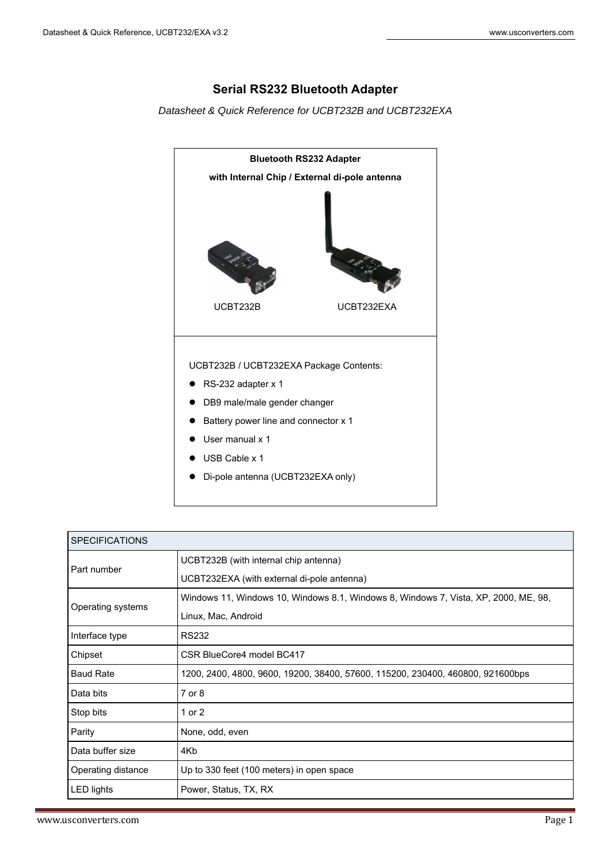# **Serial RS232 Bluetooth Adapter**

*Datasheet & Quick Reference for UCBT232B and UCBT232EXA* 



| <b>SPECIFICATIONS</b>                                                                              |                                                                                     |  |
|----------------------------------------------------------------------------------------------------|-------------------------------------------------------------------------------------|--|
| Part number                                                                                        | UCBT232B (with internal chip antenna)                                               |  |
|                                                                                                    | UCBT232EXA (with external di-pole antenna)                                          |  |
| Operating systems                                                                                  | Windows 11, Windows 10, Windows 8.1, Windows 8, Windows 7, Vista, XP, 2000, ME, 98, |  |
|                                                                                                    | Linux, Mac, Android                                                                 |  |
| <b>RS232</b><br>Interface type                                                                     |                                                                                     |  |
| Chipset                                                                                            | CSR BlueCore4 model BC417                                                           |  |
| <b>Baud Rate</b><br>1200, 2400, 4800, 9600, 19200, 38400, 57600, 115200, 230400, 460800, 921600bps |                                                                                     |  |
| Data bits                                                                                          | $7$ or $8$                                                                          |  |
| Stop bits                                                                                          | 1 or 2                                                                              |  |
| Parity<br>None, odd, even                                                                          |                                                                                     |  |
| Data buffer size<br>4Kb                                                                            |                                                                                     |  |
| Operating distance                                                                                 | Up to 330 feet (100 meters) in open space                                           |  |
| <b>LED lights</b>                                                                                  | Power, Status, TX, RX                                                               |  |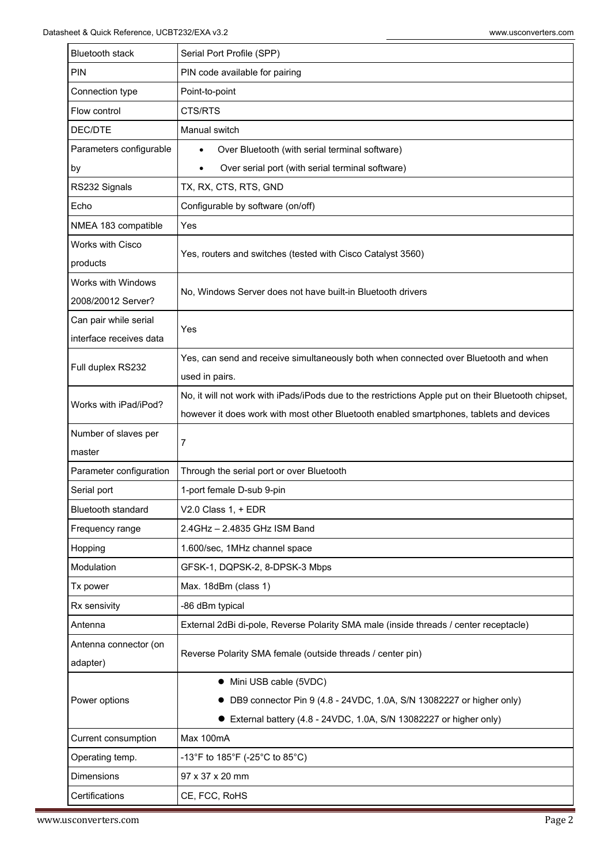| <b>Bluetooth stack</b>     | Serial Port Profile (SPP)                                                                           |  |  |
|----------------------------|-----------------------------------------------------------------------------------------------------|--|--|
| PIN                        | PIN code available for pairing                                                                      |  |  |
| Connection type            | Point-to-point                                                                                      |  |  |
| Flow control               | CTS/RTS                                                                                             |  |  |
| DEC/DTE                    | Manual switch                                                                                       |  |  |
| Parameters configurable    | Over Bluetooth (with serial terminal software)                                                      |  |  |
| by                         | Over serial port (with serial terminal software)                                                    |  |  |
| RS232 Signals              | TX, RX, CTS, RTS, GND                                                                               |  |  |
| Echo                       | Configurable by software (on/off)                                                                   |  |  |
| NMEA 183 compatible        | Yes                                                                                                 |  |  |
| Works with Cisco           |                                                                                                     |  |  |
| products                   | Yes, routers and switches (tested with Cisco Catalyst 3560)                                         |  |  |
| Works with Windows         | No, Windows Server does not have built-in Bluetooth drivers                                         |  |  |
| 2008/20012 Server?         |                                                                                                     |  |  |
| Can pair while serial      | Yes                                                                                                 |  |  |
| interface receives data    |                                                                                                     |  |  |
| Full duplex RS232          | Yes, can send and receive simultaneously both when connected over Bluetooth and when                |  |  |
|                            | used in pairs.                                                                                      |  |  |
| Works with iPad/iPod?      | No, it will not work with iPads/iPods due to the restrictions Apple put on their Bluetooth chipset, |  |  |
|                            | however it does work with most other Bluetooth enabled smartphones, tablets and devices             |  |  |
|                            |                                                                                                     |  |  |
| Number of slaves per       |                                                                                                     |  |  |
| master                     | 7                                                                                                   |  |  |
| Parameter configuration    | Through the serial port or over Bluetooth                                                           |  |  |
| Serial port                | 1-port female D-sub 9-pin                                                                           |  |  |
| <b>Bluetooth standard</b>  | $V2.0$ Class 1, + EDR                                                                               |  |  |
| Frequency range            | 2.4GHz - 2.4835 GHz ISM Band                                                                        |  |  |
| Hopping                    | 1.600/sec, 1MHz channel space                                                                       |  |  |
| Modulation                 | GFSK-1, DQPSK-2, 8-DPSK-3 Mbps                                                                      |  |  |
| Tx power                   | Max. 18dBm (class 1)                                                                                |  |  |
| Rx sensivity               | -86 dBm typical                                                                                     |  |  |
| Antenna                    | External 2dBi di-pole, Reverse Polarity SMA male (inside threads / center receptacle)               |  |  |
| Antenna connector (on      |                                                                                                     |  |  |
| adapter)                   | Reverse Polarity SMA female (outside threads / center pin)                                          |  |  |
|                            | • Mini USB cable (5VDC)                                                                             |  |  |
| Power options              | DB9 connector Pin 9 (4.8 - 24VDC, 1.0A, S/N 13082227 or higher only)                                |  |  |
|                            | • External battery (4.8 - 24VDC, 1.0A, S/N 13082227 or higher only)                                 |  |  |
| <b>Current consumption</b> | Max 100mA                                                                                           |  |  |
| Operating temp.            | -13°F to 185°F (-25°C to 85°C)                                                                      |  |  |
| <b>Dimensions</b>          | 97 x 37 x 20 mm                                                                                     |  |  |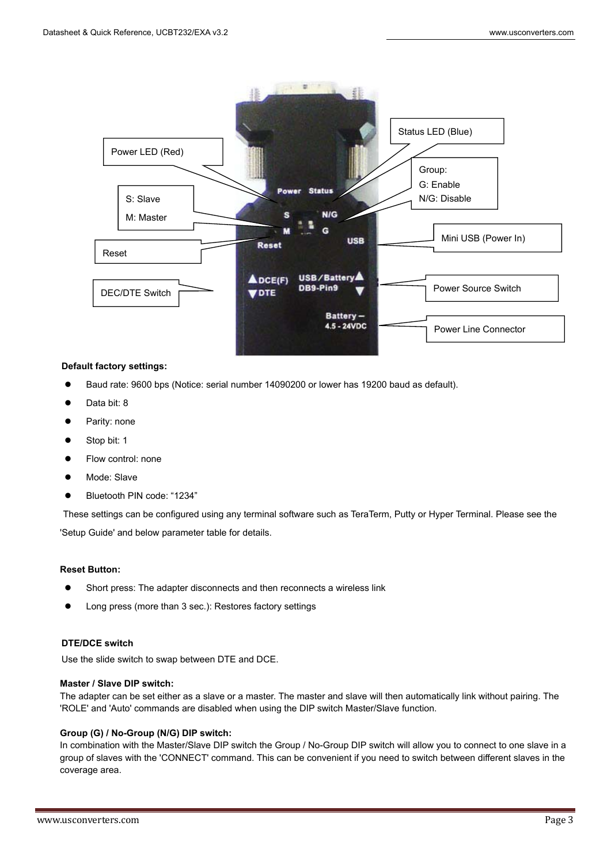

## **Default factory settings:**

- Baud rate: 9600 bps (Notice: serial number 14090200 or lower has 19200 baud as default).
- Data bit: 8
- Parity: none
- Stop bit: 1
- Flow control: none
- Mode: Slave
- Bluetooth PIN code: "1234"

These settings can be configured using any terminal software such as TeraTerm, Putty or Hyper Terminal. Please see the 'Setup Guide' and below parameter table for details.

#### **Reset Button:**

- Short press: The adapter disconnects and then reconnects a wireless link
- Long press (more than 3 sec.): Restores factory settings

## **DTE/DCE switch**

Use the slide switch to swap between DTE and DCE.

## **Master / Slave DIP switch:**

 The adapter can be set either as a slave or a master. The master and slave will then automatically link without pairing. The 'ROLE' and 'Auto' commands are disabled when using the DIP switch Master/Slave function.

#### **Group (G) / No-Group (N/G) DIP switch:**

In combination with the Master/Slave DIP switch the Group / No-Group DIP switch will allow you to connect to one slave in a group of slaves with the 'CONNECT' command. This can be convenient if you need to switch between different slaves in the coverage area.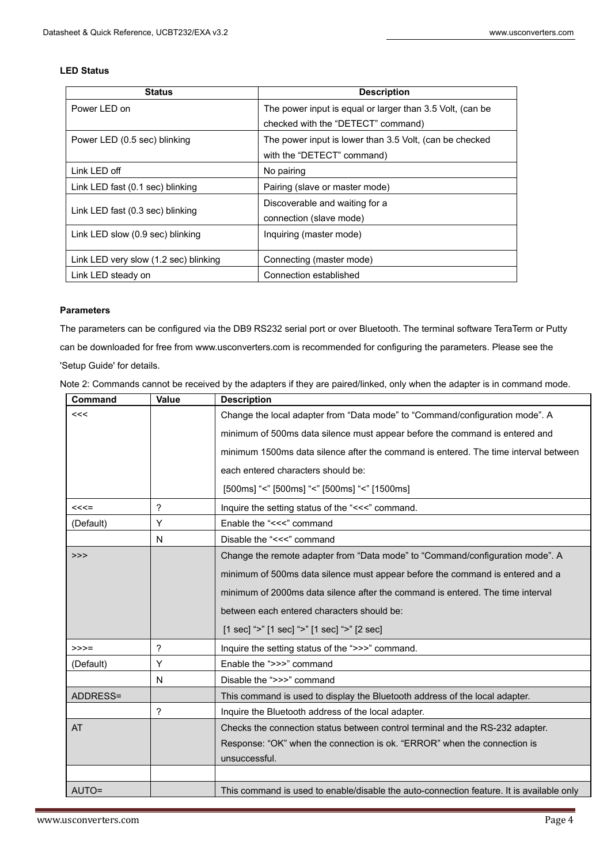# **LED Status**

| <b>Status</b>                         | <b>Description</b>                                        |  |
|---------------------------------------|-----------------------------------------------------------|--|
| Power I FD on                         | The power input is equal or larger than 3.5 Volt, (can be |  |
|                                       | checked with the "DETECT" command)                        |  |
| Power LED (0.5 sec) blinking          | The power input is lower than 3.5 Volt, (can be checked   |  |
|                                       | with the "DETECT" command)                                |  |
| Link LED off                          | No pairing                                                |  |
| Link LED fast (0.1 sec) blinking      | Pairing (slave or master mode)                            |  |
|                                       | Discoverable and waiting for a                            |  |
| Link LED fast (0.3 sec) blinking      | connection (slave mode)                                   |  |
| Link LED slow (0.9 sec) blinking      | Inquiring (master mode)                                   |  |
|                                       |                                                           |  |
| Link LED very slow (1.2 sec) blinking | Connecting (master mode)                                  |  |
| Link LED steady on                    | Connection established                                    |  |

# **Parameters**

The parameters can be configured via the DB9 RS232 serial port or over Bluetooth. The terminal software TeraTerm or Putty can be downloaded for free from www.usconverters.com is recommended for configuring the parameters. Please see the 'Setup Guide' for details.

| Command   | Value | <b>Description</b>                                                                       |  |  |
|-----------|-------|------------------------------------------------------------------------------------------|--|--|
| <<        |       | Change the local adapter from "Data mode" to "Command/configuration mode". A             |  |  |
|           |       | minimum of 500ms data silence must appear before the command is entered and              |  |  |
|           |       | minimum 1500ms data silence after the command is entered. The time interval between      |  |  |
|           |       | each entered characters should be:                                                       |  |  |
|           |       | [500ms] "<" [500ms] "<" [500ms] "<" [1500ms]                                             |  |  |
| $<<=$     | ?     | Inquire the setting status of the "<<<" command.                                         |  |  |
| (Default) | Υ     | Enable the "<<<" command                                                                 |  |  |
|           | N     | Disable the "<<<" command                                                                |  |  |
| >>        |       | Change the remote adapter from "Data mode" to "Command/configuration mode". A            |  |  |
|           |       | minimum of 500ms data silence must appear before the command is entered and a            |  |  |
|           |       | minimum of 2000ms data silence after the command is entered. The time interval           |  |  |
|           |       | between each entered characters should be:                                               |  |  |
|           |       | [1 sec] ">" [1 sec] ">" [1 sec] ">" [2 sec]                                              |  |  |
| $>>>=$    | ?     | Inquire the setting status of the ">>>" command.                                         |  |  |
| (Default) | Y     | Enable the ">>>" command                                                                 |  |  |
|           | N     | Disable the ">>>" command                                                                |  |  |
| ADDRESS=  |       | This command is used to display the Bluetooth address of the local adapter.              |  |  |
|           | ?     | Inquire the Bluetooth address of the local adapter.                                      |  |  |
| <b>AT</b> |       | Checks the connection status between control terminal and the RS-232 adapter.            |  |  |
|           |       | Response: "OK" when the connection is ok. "ERROR" when the connection is                 |  |  |
|           |       | unsuccessful.                                                                            |  |  |
|           |       |                                                                                          |  |  |
| AUTO=     |       | This command is used to enable/disable the auto-connection feature. It is available only |  |  |

Note 2: Commands cannot be received by the adapters if they are paired/linked, only when the adapter is in command mode.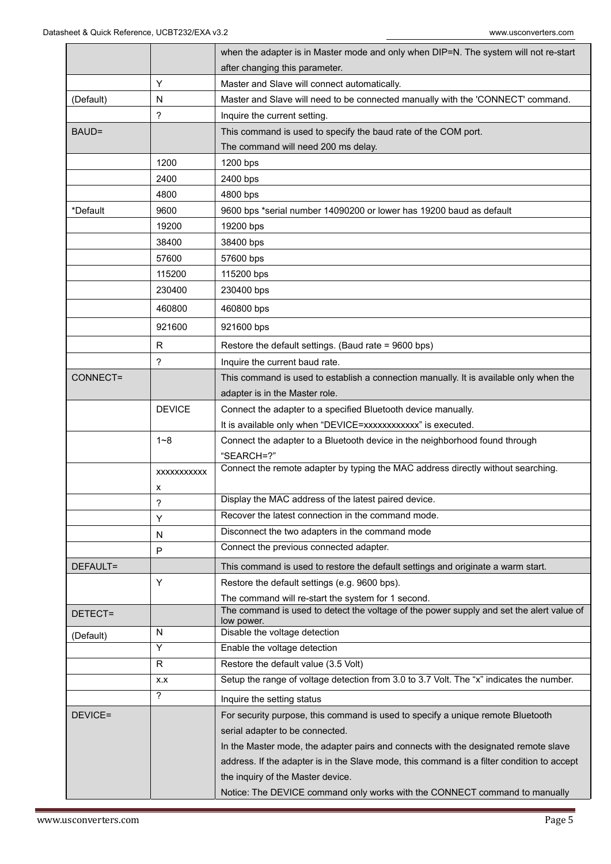|                |                 | when the adapter is in Master mode and only when DIP=N. The system will not re-start       |  |  |
|----------------|-----------------|--------------------------------------------------------------------------------------------|--|--|
|                |                 | after changing this parameter.                                                             |  |  |
|                | Y               | Master and Slave will connect automatically.                                               |  |  |
| N<br>(Default) |                 | Master and Slave will need to be connected manually with the 'CONNECT' command.            |  |  |
|                | ?               | Inquire the current setting.                                                               |  |  |
| BAUD=          |                 | This command is used to specify the baud rate of the COM port.                             |  |  |
|                |                 | The command will need 200 ms delay.                                                        |  |  |
|                | 1200            | 1200 bps                                                                                   |  |  |
|                | 2400            | 2400 bps                                                                                   |  |  |
|                | 4800            | 4800 bps                                                                                   |  |  |
| *Default       | 9600            | 9600 bps *serial number 14090200 or lower has 19200 baud as default                        |  |  |
|                | 19200           | 19200 bps                                                                                  |  |  |
|                | 38400           | 38400 bps                                                                                  |  |  |
|                | 57600           | 57600 bps                                                                                  |  |  |
|                | 115200          | 115200 bps                                                                                 |  |  |
|                | 230400          | 230400 bps                                                                                 |  |  |
|                | 460800          | 460800 bps                                                                                 |  |  |
|                | 921600          | 921600 bps                                                                                 |  |  |
|                | R               | Restore the default settings. (Baud rate = 9600 bps)                                       |  |  |
|                | ?               | Inquire the current baud rate.                                                             |  |  |
| CONNECT=       |                 | This command is used to establish a connection manually. It is available only when the     |  |  |
|                |                 | adapter is in the Master role.                                                             |  |  |
|                | <b>DEVICE</b>   | Connect the adapter to a specified Bluetooth device manually.                              |  |  |
|                |                 | It is available only when "DEVICE=xxxxxxxxxxxx" is executed.                               |  |  |
|                | $1 - 8$         | Connect the adapter to a Bluetooth device in the neighborhood found through                |  |  |
|                |                 | "SEARCH=?"                                                                                 |  |  |
|                | XXXXXXXXXX<br>х | Connect the remote adapter by typing the MAC address directly without searching.           |  |  |
|                | ?               | Display the MAC address of the latest paired device.                                       |  |  |
|                | Y               | Recover the latest connection in the command mode.                                         |  |  |
|                | N               | Disconnect the two adapters in the command mode                                            |  |  |
|                | P               | Connect the previous connected adapter.                                                    |  |  |
| DEFAULT=       |                 | This command is used to restore the default settings and originate a warm start.           |  |  |
|                | Y               | Restore the default settings (e.g. 9600 bps).                                              |  |  |
|                |                 | The command will re-start the system for 1 second.                                         |  |  |
| DETECT=        |                 | The command is used to detect the voltage of the power supply and set the alert value of   |  |  |
|                | N               | low power.<br>Disable the voltage detection                                                |  |  |
| (Default)      | Y               | Enable the voltage detection                                                               |  |  |
|                | R               | Restore the default value (3.5 Volt)                                                       |  |  |
|                | X.X             | Setup the range of voltage detection from 3.0 to 3.7 Volt. The "x" indicates the number.   |  |  |
|                | ?               | Inquire the setting status                                                                 |  |  |
| DEVICE=        |                 | For security purpose, this command is used to specify a unique remote Bluetooth            |  |  |
|                |                 | serial adapter to be connected.                                                            |  |  |
|                |                 | In the Master mode, the adapter pairs and connects with the designated remote slave        |  |  |
|                |                 | address. If the adapter is in the Slave mode, this command is a filter condition to accept |  |  |
|                |                 | the inquiry of the Master device.                                                          |  |  |
|                |                 | Notice: The DEVICE command only works with the CONNECT command to manually                 |  |  |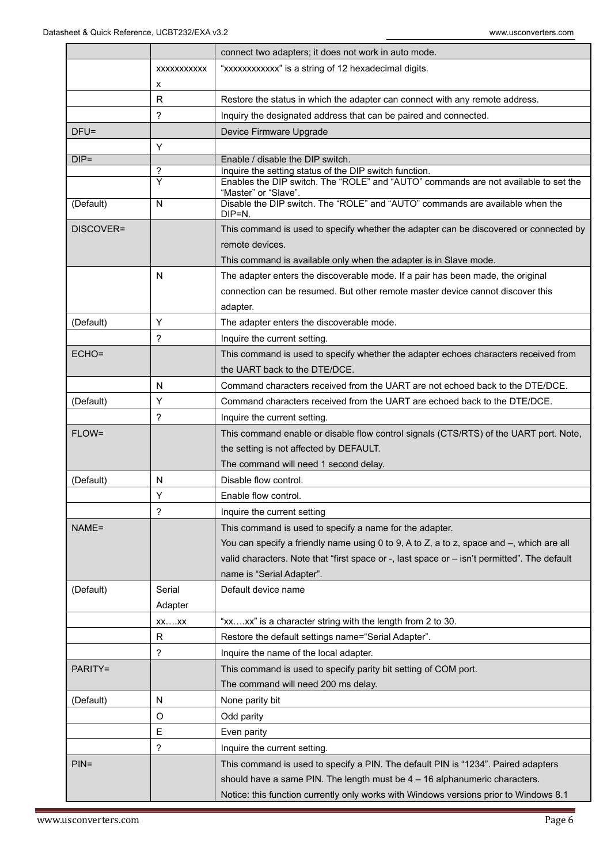|           |                          | connect two adapters; it does not work in auto mode.                                                                                          |  |
|-----------|--------------------------|-----------------------------------------------------------------------------------------------------------------------------------------------|--|
|           | XXXXXXXXXX               | "xxxxxxxxxxx" is a string of 12 hexadecimal digits.                                                                                           |  |
|           | х                        |                                                                                                                                               |  |
|           | $\mathsf{R}$             | Restore the status in which the adapter can connect with any remote address.                                                                  |  |
|           | $\overline{\phantom{0}}$ | Inquiry the designated address that can be paired and connected.                                                                              |  |
| $DFU =$   |                          | Device Firmware Upgrade                                                                                                                       |  |
|           | Y                        |                                                                                                                                               |  |
| $DIP =$   |                          | Enable / disable the DIP switch.                                                                                                              |  |
|           | ?<br>Y                   | Inquire the setting status of the DIP switch function.<br>Enables the DIP switch. The "ROLE" and "AUTO" commands are not available to set the |  |
| (Default) | N                        | "Master" or "Slave".<br>Disable the DIP switch. The "ROLE" and "AUTO" commands are available when the<br>DIP=N.                               |  |
| DISCOVER= |                          | This command is used to specify whether the adapter can be discovered or connected by                                                         |  |
|           |                          | remote devices.                                                                                                                               |  |
|           |                          | This command is available only when the adapter is in Slave mode.                                                                             |  |
|           | N                        | The adapter enters the discoverable mode. If a pair has been made, the original                                                               |  |
|           |                          | connection can be resumed. But other remote master device cannot discover this                                                                |  |
|           |                          | adapter.                                                                                                                                      |  |
| (Default) | Υ                        | The adapter enters the discoverable mode.                                                                                                     |  |
|           | $\overline{\phantom{0}}$ | Inquire the current setting.                                                                                                                  |  |
| ECHO=     |                          | This command is used to specify whether the adapter echoes characters received from                                                           |  |
|           |                          | the UART back to the DTE/DCE.                                                                                                                 |  |
|           | N                        | Command characters received from the UART are not echoed back to the DTE/DCE.                                                                 |  |
| (Default) | Y                        | Command characters received from the UART are echoed back to the DTE/DCE.                                                                     |  |
|           | ?                        | Inquire the current setting.                                                                                                                  |  |
| FLOW=     |                          | This command enable or disable flow control signals (CTS/RTS) of the UART port. Note,                                                         |  |
|           |                          | the setting is not affected by DEFAULT.                                                                                                       |  |
|           |                          | The command will need 1 second delay.                                                                                                         |  |
| (Default) | N                        | Disable flow control.                                                                                                                         |  |
|           | Υ                        | Enable flow control.                                                                                                                          |  |
|           | ?                        | Inquire the current setting                                                                                                                   |  |
| NAME=     |                          | This command is used to specify a name for the adapter.                                                                                       |  |
|           |                          | You can specify a friendly name using 0 to 9, A to Z, a to z, space and -, which are all                                                      |  |
|           |                          | valid characters. Note that "first space or -, last space or - isn't permitted". The default                                                  |  |
|           |                          | name is "Serial Adapter".                                                                                                                     |  |
| (Default) | Serial                   | Default device name                                                                                                                           |  |
|           | Adapter                  |                                                                                                                                               |  |
|           | $XX$ $XX$                | "xxxx" is a character string with the length from 2 to 30.                                                                                    |  |
|           | R                        | Restore the default settings name="Serial Adapter".                                                                                           |  |
|           | ?                        | Inquire the name of the local adapter.                                                                                                        |  |
| PARITY=   |                          | This command is used to specify parity bit setting of COM port.                                                                               |  |
|           |                          | The command will need 200 ms delay.                                                                                                           |  |
| (Default) | N                        | None parity bit                                                                                                                               |  |
|           | O                        | Odd parity                                                                                                                                    |  |
|           | Е                        | Even parity                                                                                                                                   |  |
|           | ?                        | Inquire the current setting.                                                                                                                  |  |
| $PIN =$   |                          | This command is used to specify a PIN. The default PIN is "1234". Paired adapters                                                             |  |
|           |                          | should have a same PIN. The length must be $4 - 16$ alphanumeric characters.                                                                  |  |
|           |                          | Notice: this function currently only works with Windows versions prior to Windows 8.1                                                         |  |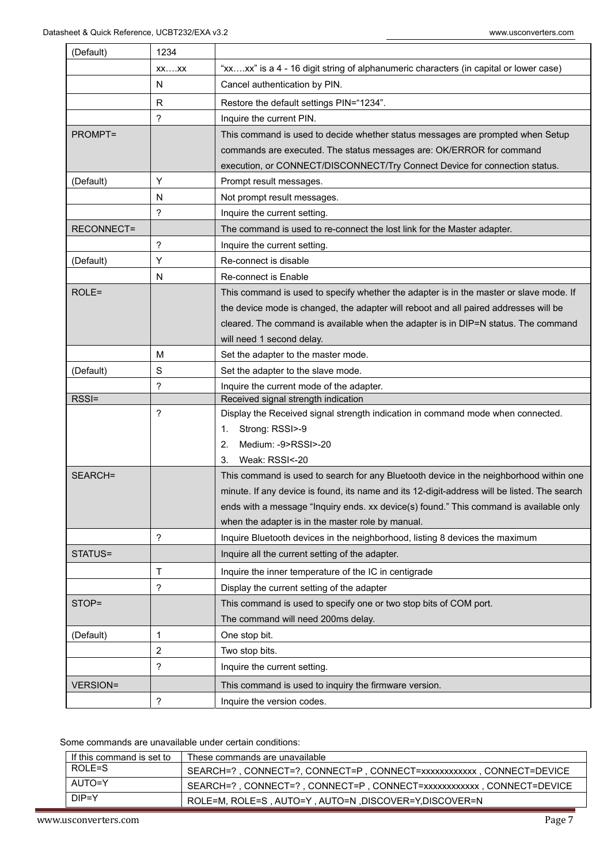| (Default)         | 1234                       |                                                                                              |  |
|-------------------|----------------------------|----------------------------------------------------------------------------------------------|--|
| $XX$ $XX$         |                            | "xxxx" is a 4 - 16 digit string of alphanumeric characters (in capital or lower case)        |  |
|                   | N                          | Cancel authentication by PIN.                                                                |  |
|                   | R                          | Restore the default settings PIN="1234".                                                     |  |
|                   | ?                          | Inquire the current PIN.                                                                     |  |
| PROMPT=           |                            | This command is used to decide whether status messages are prompted when Setup               |  |
|                   |                            | commands are executed. The status messages are: OK/ERROR for command                         |  |
|                   |                            | execution, or CONNECT/DISCONNECT/Try Connect Device for connection status.                   |  |
| (Default)         | Y                          | Prompt result messages.                                                                      |  |
|                   | N                          | Not prompt result messages.                                                                  |  |
|                   | ?                          | Inquire the current setting.                                                                 |  |
| <b>RECONNECT=</b> |                            | The command is used to re-connect the lost link for the Master adapter.                      |  |
|                   | ?                          | Inquire the current setting.                                                                 |  |
| (Default)         | Y                          | Re-connect is disable                                                                        |  |
|                   | N                          | <b>Re-connect is Enable</b>                                                                  |  |
| ROLE=             |                            | This command is used to specify whether the adapter is in the master or slave mode. If       |  |
|                   |                            | the device mode is changed, the adapter will reboot and all paired addresses will be         |  |
|                   |                            | cleared. The command is available when the adapter is in DIP=N status. The command           |  |
|                   |                            | will need 1 second delay.                                                                    |  |
|                   | M                          | Set the adapter to the master mode.                                                          |  |
| (Default)         | S                          | Set the adapter to the slave mode.                                                           |  |
|                   | ?                          | Inquire the current mode of the adapter.                                                     |  |
| RSSI=             |                            | Received signal strength indication                                                          |  |
|                   | ?                          | Display the Received signal strength indication in command mode when connected.              |  |
|                   |                            | Strong: RSSI>-9<br>1.                                                                        |  |
|                   |                            | Medium: -9>RSSI>-20<br>2.                                                                    |  |
|                   |                            | Weak: RSSI<-20<br>3.                                                                         |  |
| SEARCH=           |                            | This command is used to search for any Bluetooth device in the neighborhood within one       |  |
|                   |                            | minute. If any device is found, its name and its 12-digit-address will be listed. The search |  |
|                   |                            | ends with a message "Inquiry ends. xx device(s) found." This command is available only       |  |
|                   | ?                          | when the adapter is in the master role by manual.                                            |  |
| STATUS=           |                            | Inquire Bluetooth devices in the neighborhood, listing 8 devices the maximum                 |  |
|                   |                            | Inquire all the current setting of the adapter.                                              |  |
|                   | Τ                          | Inquire the inner temperature of the IC in centigrade                                        |  |
|                   | ?                          | Display the current setting of the adapter                                                   |  |
| STOP=             |                            | This command is used to specify one or two stop bits of COM port.                            |  |
|                   |                            | The command will need 200ms delay.                                                           |  |
| (Default)         | 1                          | One stop bit.                                                                                |  |
| 2                 |                            | Two stop bits.                                                                               |  |
|                   | ?                          | Inquire the current setting.                                                                 |  |
| <b>VERSION=</b>   |                            | This command is used to inquiry the firmware version.                                        |  |
|                   | $\boldsymbol{\mathcal{P}}$ | Inquire the version codes.                                                                   |  |

# Some commands are unavailable under certain conditions:

| If this command is set to | These commands are unavailable                                        |  |  |
|---------------------------|-----------------------------------------------------------------------|--|--|
| ROLE=S                    | SEARCH=?, CONNECT=?, CONNECT=P, CONNECT=xxxxxxxxxxxx , CONNECT=DEVICE |  |  |
| AUTO=Y                    | SEARCH=?, CONNECT=?, CONNECT=P, CONNECT=xxxxxxxxxxxx , CONNECT=DEVICE |  |  |
| $DIP=Y$                   | ROLE=M, ROLE=S , AUTO=Y , AUTO=N , DISCOVER=Y, DISCOVER=N             |  |  |

www.usconverters.com Page 7